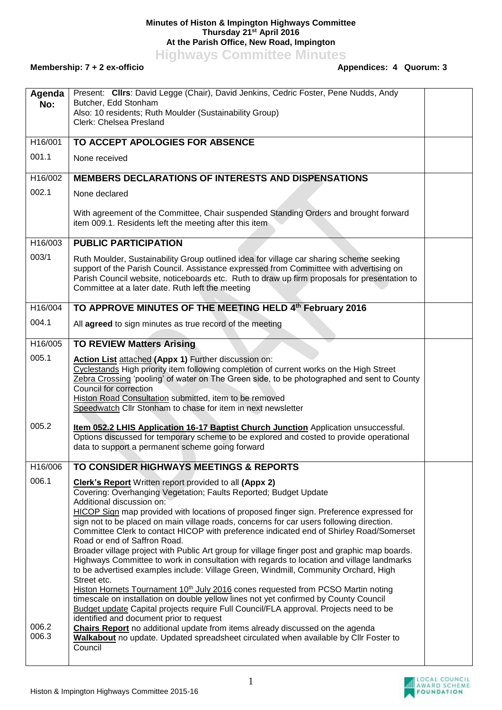## **Minutes of Histon & Impington Highways Committee Thursday 21st April 2016 At the Parish Office, New Road, Impington**

**Highways Committee Minutes**

## **Membership: 7 + 2 ex-officio**

LOCAL COUNCIL<br>AWARD SCHEME<br>FOUNDATION

| Agenda               | Present: Clirs: David Legge (Chair), David Jenkins, Cedric Foster, Pene Nudds, Andy                                                                                                                                                                                                                                                   |  |
|----------------------|---------------------------------------------------------------------------------------------------------------------------------------------------------------------------------------------------------------------------------------------------------------------------------------------------------------------------------------|--|
| No:                  | Butcher, Edd Stonham                                                                                                                                                                                                                                                                                                                  |  |
|                      | Also: 10 residents; Ruth Moulder (Sustainability Group)<br>Clerk: Chelsea Presland                                                                                                                                                                                                                                                    |  |
|                      |                                                                                                                                                                                                                                                                                                                                       |  |
| H16/001              | TO ACCEPT APOLOGIES FOR ABSENCE                                                                                                                                                                                                                                                                                                       |  |
| 001.1                | None received                                                                                                                                                                                                                                                                                                                         |  |
| H <sub>16</sub> /002 | <b>MEMBERS DECLARATIONS OF INTERESTS AND DISPENSATIONS</b>                                                                                                                                                                                                                                                                            |  |
| 002.1                | None declared                                                                                                                                                                                                                                                                                                                         |  |
|                      | With agreement of the Committee, Chair suspended Standing Orders and brought forward<br>item 009.1. Residents left the meeting after this item                                                                                                                                                                                        |  |
| H16/003              | <b>PUBLIC PARTICIPATION</b>                                                                                                                                                                                                                                                                                                           |  |
| 003/1                | Ruth Moulder, Sustainability Group outlined idea for village car sharing scheme seeking<br>support of the Parish Council. Assistance expressed from Committee with advertising on<br>Parish Council website, noticeboards etc. Ruth to draw up firm proposals for presentation to<br>Committee at a later date. Ruth left the meeting |  |
| H16/004              | TO APPROVE MINUTES OF THE MEETING HELD 4th February 2016                                                                                                                                                                                                                                                                              |  |
| 004.1                | All agreed to sign minutes as true record of the meeting                                                                                                                                                                                                                                                                              |  |
| H16/005              | <b>TO REVIEW Matters Arising</b>                                                                                                                                                                                                                                                                                                      |  |
| 005.1                | Action List attached (Appx 1) Further discussion on:<br>Cyclestands High priority item following completion of current works on the High Street                                                                                                                                                                                       |  |
|                      | Zebra Crossing 'pooling' of water on The Green side, to be photographed and sent to County<br>Council for correction                                                                                                                                                                                                                  |  |
|                      | Histon Road Consultation submitted, item to be removed<br>Speedwatch Cllr Stonham to chase for item in next newsletter                                                                                                                                                                                                                |  |
| 005.2                | Item 052.2 LHIS Application 16-17 Baptist Church Junction Application unsuccessful.                                                                                                                                                                                                                                                   |  |
|                      | Options discussed for temporary scheme to be explored and costed to provide operational                                                                                                                                                                                                                                               |  |
|                      | data to support a permanent scheme going forward                                                                                                                                                                                                                                                                                      |  |
| H16/006              | TO CONSIDER HIGHWAYS MEETINGS & REPORTS                                                                                                                                                                                                                                                                                               |  |
| 006.1                | <b>Clerk's Report</b> Written report provided to all (Appx 2)                                                                                                                                                                                                                                                                         |  |
|                      | Covering: Overhanging Vegetation; Faults Reported; Budget Update                                                                                                                                                                                                                                                                      |  |
|                      | Additional discussion on:<br>HICOP Sign map provided with locations of proposed finger sign. Preference expressed for                                                                                                                                                                                                                 |  |
|                      | sign not to be placed on main village roads, concerns for car users following direction.                                                                                                                                                                                                                                              |  |
|                      | Committee Clerk to contact HICOP with preference indicated end of Shirley Road/Somerset<br>Road or end of Saffron Road.                                                                                                                                                                                                               |  |
|                      | Broader village project with Public Art group for village finger post and graphic map boards.                                                                                                                                                                                                                                         |  |
|                      | Highways Committee to work in consultation with regards to location and village landmarks                                                                                                                                                                                                                                             |  |
|                      | to be advertised examples include: Village Green, Windmill, Community Orchard, High<br>Street etc.                                                                                                                                                                                                                                    |  |
|                      | Histon Hornets Tournament 10 <sup>th</sup> July 2016 cones requested from PCSO Martin noting                                                                                                                                                                                                                                          |  |
|                      | timescale on installation on double yellow lines not yet confirmed by County Council                                                                                                                                                                                                                                                  |  |
|                      | Budget update Capital projects require Full Council/FLA approval. Projects need to be<br>identified and document prior to request                                                                                                                                                                                                     |  |
| 006.2                | Chairs Report no additional update from items already discussed on the agenda                                                                                                                                                                                                                                                         |  |
| 006.3                | Walkabout no update. Updated spreadsheet circulated when available by Cllr Foster to<br>Council                                                                                                                                                                                                                                       |  |
|                      |                                                                                                                                                                                                                                                                                                                                       |  |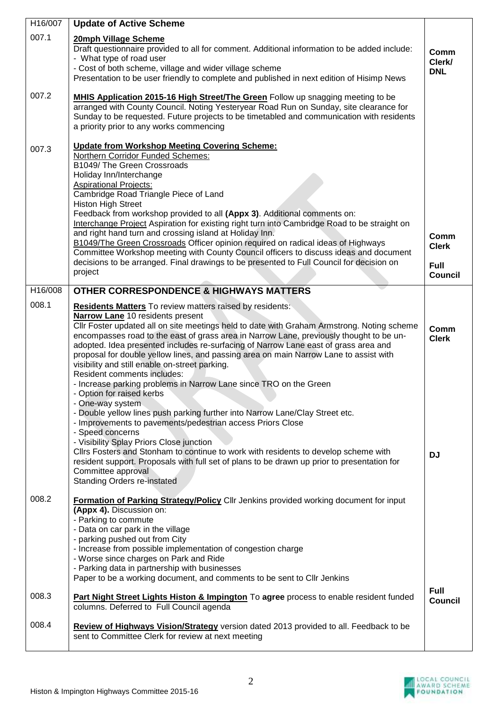| H16/007 | <b>Update of Active Scheme</b>                                                                                                                                                                                                                                                                                                                                                                                                                                                                                                                                                                                                                                                                                                                                                                                                                                                                                                                                                                                                                                                                                                                      |                                                       |
|---------|-----------------------------------------------------------------------------------------------------------------------------------------------------------------------------------------------------------------------------------------------------------------------------------------------------------------------------------------------------------------------------------------------------------------------------------------------------------------------------------------------------------------------------------------------------------------------------------------------------------------------------------------------------------------------------------------------------------------------------------------------------------------------------------------------------------------------------------------------------------------------------------------------------------------------------------------------------------------------------------------------------------------------------------------------------------------------------------------------------------------------------------------------------|-------------------------------------------------------|
| 007.1   | 20mph Village Scheme<br>Draft questionnaire provided to all for comment. Additional information to be added include:<br>- What type of road user<br>- Cost of both scheme, village and wider village scheme<br>Presentation to be user friendly to complete and published in next edition of Hisimp News                                                                                                                                                                                                                                                                                                                                                                                                                                                                                                                                                                                                                                                                                                                                                                                                                                            | Comm<br>Clerk/<br><b>DNL</b>                          |
| 007.2   | <b>MHIS Application 2015-16 High Street/The Green Follow up snagging meeting to be</b><br>arranged with County Council. Noting Yesteryear Road Run on Sunday, site clearance for<br>Sunday to be requested. Future projects to be timetabled and communication with residents<br>a priority prior to any works commencing                                                                                                                                                                                                                                                                                                                                                                                                                                                                                                                                                                                                                                                                                                                                                                                                                           |                                                       |
| 007.3   | <b>Update from Workshop Meeting Covering Scheme:</b><br>Northern Corridor Funded Schemes:<br>B1049/ The Green Crossroads<br>Holiday Inn/Interchange<br><b>Aspirational Projects:</b><br>Cambridge Road Triangle Piece of Land<br><b>Histon High Street</b><br>Feedback from workshop provided to all (Appx 3). Additional comments on:<br>Interchange Project Aspiration for existing right turn into Cambridge Road to be straight on<br>and right hand turn and crossing island at Holiday Inn.<br>B1049/The Green Crossroads Officer opinion required on radical ideas of Highways<br>Committee Workshop meeting with County Council officers to discuss ideas and document<br>decisions to be arranged. Final drawings to be presented to Full Council for decision on<br>project                                                                                                                                                                                                                                                                                                                                                               | Comm<br><b>Clerk</b><br><b>Full</b><br><b>Council</b> |
| H16/008 | <b>OTHER CORRESPONDENCE &amp; HIGHWAYS MATTERS</b>                                                                                                                                                                                                                                                                                                                                                                                                                                                                                                                                                                                                                                                                                                                                                                                                                                                                                                                                                                                                                                                                                                  |                                                       |
| 008.1   | <b>Residents Matters</b> To review matters raised by residents:<br>Narrow Lane 10 residents present<br>CIIr Foster updated all on site meetings held to date with Graham Armstrong. Noting scheme<br>encompasses road to the east of grass area in Narrow Lane, previously thought to be un-<br>adopted. Idea presented includes re-surfacing of Narrow Lane east of grass area and<br>proposal for double yellow lines, and passing area on main Narrow Lane to assist with<br>visibility and still enable on-street parking.<br>Resident comments includes:<br>- Increase parking problems in Narrow Lane since TRO on the Green<br>- Option for raised kerbs<br>- One-way system<br>- Double yellow lines push parking further into Narrow Lane/Clay Street etc.<br>- Improvements to pavements/pedestrian access Priors Close<br>- Speed concerns<br>- Visibility Splay Priors Close junction<br>Cllrs Fosters and Stonham to continue to work with residents to develop scheme with<br>resident support. Proposals with full set of plans to be drawn up prior to presentation for<br>Committee approval<br><b>Standing Orders re-instated</b> | Comm<br><b>Clerk</b><br><b>DJ</b>                     |
| 008.2   | Formation of Parking Strategy/Policy Cllr Jenkins provided working document for input<br>(Appx 4). Discussion on:<br>- Parking to commute<br>- Data on car park in the village<br>- parking pushed out from City<br>- Increase from possible implementation of congestion charge<br>- Worse since charges on Park and Ride<br>- Parking data in partnership with businesses<br>Paper to be a working document, and comments to be sent to Cllr Jenkins                                                                                                                                                                                                                                                                                                                                                                                                                                                                                                                                                                                                                                                                                              |                                                       |
| 008.3   | Part Night Street Lights Histon & Impington To agree process to enable resident funded<br>columns. Deferred to Full Council agenda                                                                                                                                                                                                                                                                                                                                                                                                                                                                                                                                                                                                                                                                                                                                                                                                                                                                                                                                                                                                                  | <b>Full</b><br><b>Council</b>                         |
| 008.4   | Review of Highways Vision/Strategy version dated 2013 provided to all. Feedback to be<br>sent to Committee Clerk for review at next meeting                                                                                                                                                                                                                                                                                                                                                                                                                                                                                                                                                                                                                                                                                                                                                                                                                                                                                                                                                                                                         |                                                       |